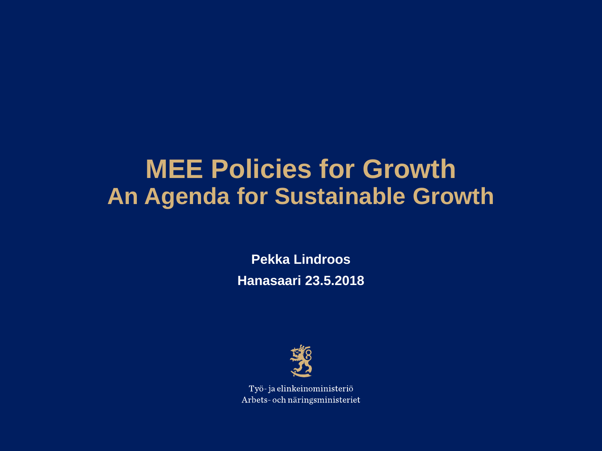## **MEE Policies for Growth An Agenda for Sustainable Growth**

**Pekka Lindroos Hanasaari 23.5.2018**



Työ-ja elinkeinoministeriö Arbets- och näringsministeriet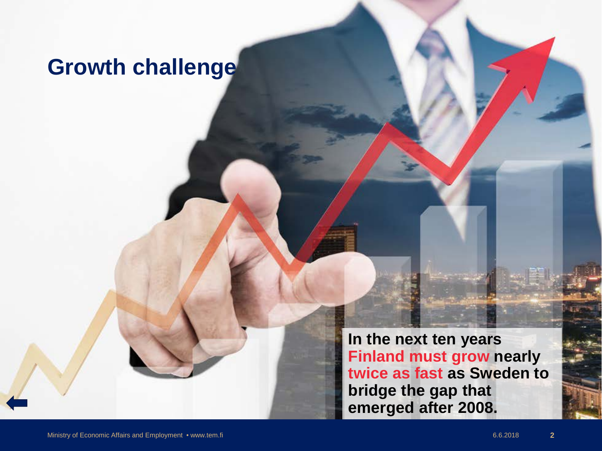### <span id="page-1-0"></span>**Growth challenge**

**In the next ten years Finland must grow nearly twice as fast as Sweden to bridge the gap that emerged after 2008.**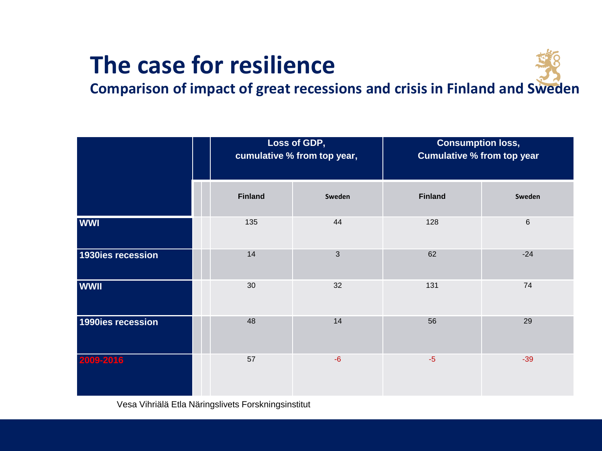## **The case for resilience**



**Comparison of impact of great recessions and crisis in Finland and Sweden**

|                   |  | Loss of GDP,<br>cumulative % from top year, |              | <b>Consumption loss,</b><br><b>Cumulative % from top year</b> |        |
|-------------------|--|---------------------------------------------|--------------|---------------------------------------------------------------|--------|
|                   |  | <b>Finland</b>                              | Sweden       | <b>Finland</b>                                                | Sweden |
| <b>WWI</b>        |  | 135                                         | 44           | 128                                                           | $\,6$  |
| 1930ies recession |  | 14                                          | $\mathbf{3}$ | 62                                                            | $-24$  |
| <b>WWII</b>       |  | 30                                          | 32           | 131                                                           | 74     |
| 1990ies recession |  | 48                                          | 14           | 56                                                            | 29     |
| 2009-2016         |  | 57                                          | $-6$         | $-5$                                                          | $-39$  |

Vesa Vihriälä Etla Näringslivets Forskningsinstitut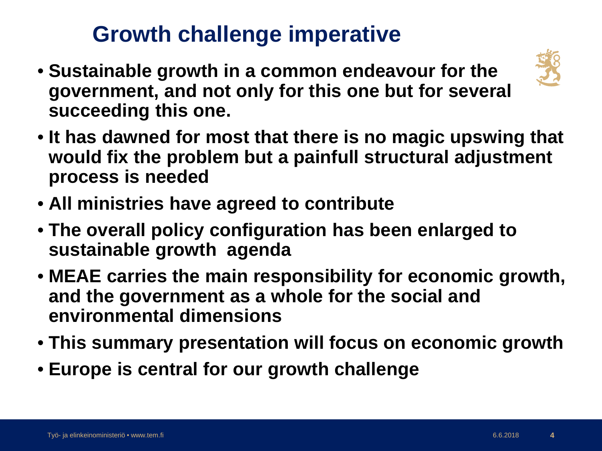## **Growth challenge imperative**

• **Sustainable growth in a common endeavour for the government, and not only for this one but for several succeeding this one.** 



- **It has dawned for most that there is no magic upswing that would fix the problem but a painfull structural adjustment process is needed**
- **All ministries have agreed to contribute**
- **The overall policy configuration has been enlarged to sustainable growth agenda**
- **MEAE carries the main responsibility for economic growth, and the government as a whole for the social and environmental dimensions**
- **This summary presentation will focus on economic growth**
- **Europe is central for our growth challenge**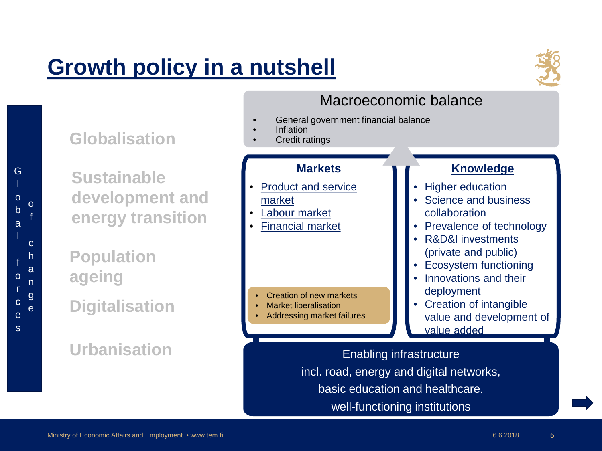## **[Growth policy in a nutshell](#page-1-0)**



**[Knowledge](#page-16-0)**

Science and business

• R&D&I investments

• Prevalence of technology

**Higher education** 

collaboration

#### Macroeconomic balance

- General government financial balance
	- Inflation
	- **Credit ratings**

#### **Markets**

- [Product and service](#page-10-0)  market
- [Labour market](#page-14-0)
- [Financial market](#page-15-0)

- Creation of new markets
- Market liberalisation
- Addressing market failures

G l

l

f

r

e s e

**Digitalisation ageing**

**Globalisation**

**Sustainable** 

**development and** 

**energy transition** 

#### **Urbanisation**

(private and public) • Ecosystem functioning • Innovations and their deployment • Creation of intangible value and development of value added Enabling infrastructure incl. road, energy and digital networks, basic education and healthcare, well-functioning institutions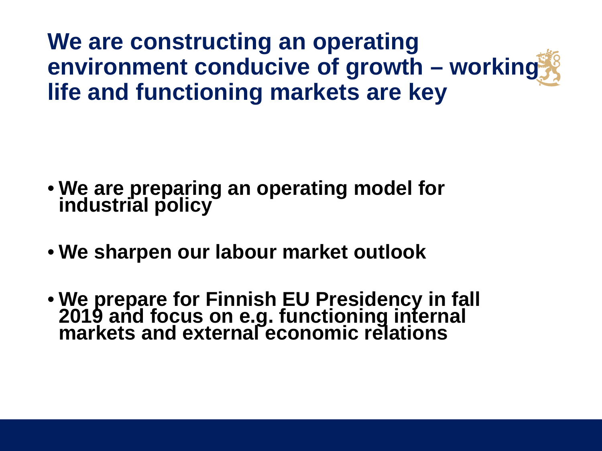**We are constructing an operating environment conducive of growth – working life and functioning markets are key**

- **We are preparing an operating model for industrial policy**
- **We sharpen our labour market outlook**
- **We prepare for Finnish EU Presidency in fall 2019 and focus on e.g. functioning internal markets and external economic relations**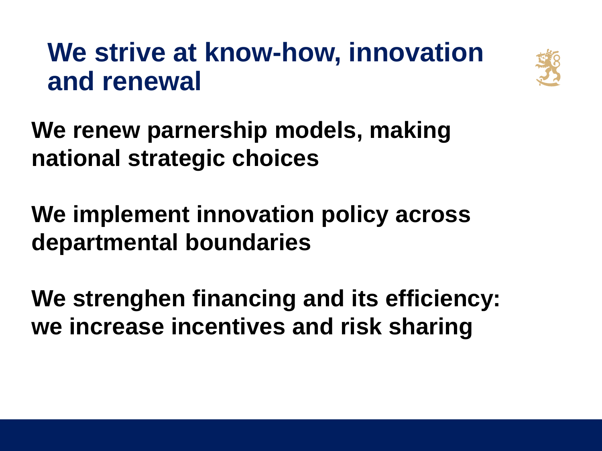# **We strive at know-how, innovation and renewal**



**We renew parnership models, making national strategic choices**

**We implement innovation policy across departmental boundaries**

**We strenghen financing and its efficiency: we increase incentives and risk sharing**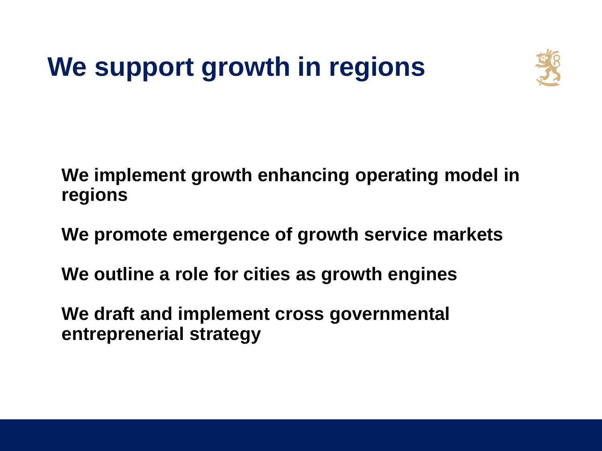# **We support growth in regions**



**We implement growth enhancing operating model in regions**

**We promote emergence of growth service markets**

**We outline a role for cities as growth engines**

**We draft and implement cross governmental entreprenerial strategy**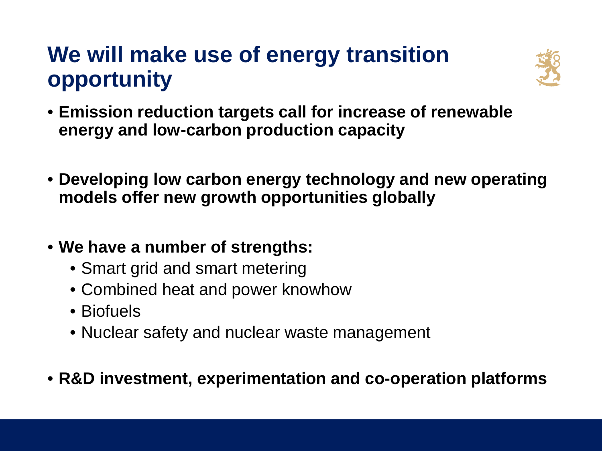## **We will make use of energy transition opportunity**



- **Emission reduction targets call for increase of renewable energy and low-carbon production capacity**
- **Developing low carbon energy technology and new operating models offer new growth opportunities globally**
- **We have a number of strengths:**
	- Smart grid and smart metering
	- Combined heat and power knowhow
	- Biofuels
	- Nuclear safety and nuclear waste management
- **R&D investment, experimentation and co-operation platforms**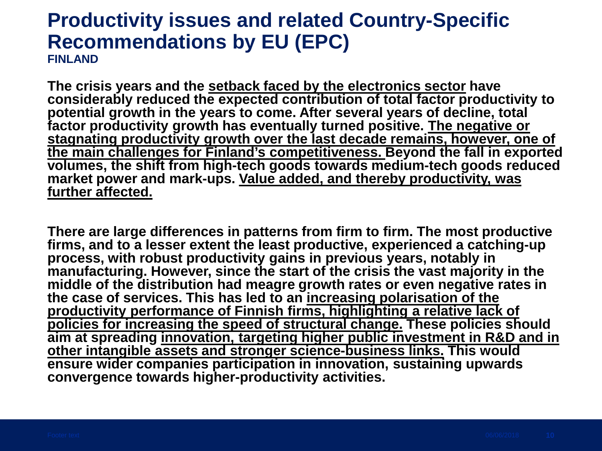#### **Productivity issues and related Country-Specific Recommendations by EU (EPC) FINLAND**

**The crisis years and the setback faced by the electronics sector have considerably reduced the expected contribution of total factor productivity to**  potential growth in the years to come. After several years of decline, total **factor productivity growth has eventually turned positive. The negative or stagnating productivity growth over the last decade remains, however, one of the main challenges for Finland's competitiveness. Beyond the fall in exported volumes, the shift from high-tech goods towards medium-tech goods reduced**  market power and mark-ups. Value added, and thereby productivity, was **further affected.**

**There are large differences in patterns from firm to firm. The most productive firms, and to a lesser extent the least productive, experienced a catching-up process, with robust productivity gains in previous years, notably in manufacturing. However, since the start of the crisis the vast majority in the middle of the distribution had meagre growth rates or even negative rates in the case of services. This has led to an increasing polarisation of the productivity performance of Finnish firms, highlighting a relative lack of policies for increasing the speed of structural change. These policies should aim at spreading innovation, targeting higher public investment in R&D and in other intangible assets and stronger science-business links. This would ensure wider companies participation in innovation, sustaining upwards convergence towards higher-productivity activities.**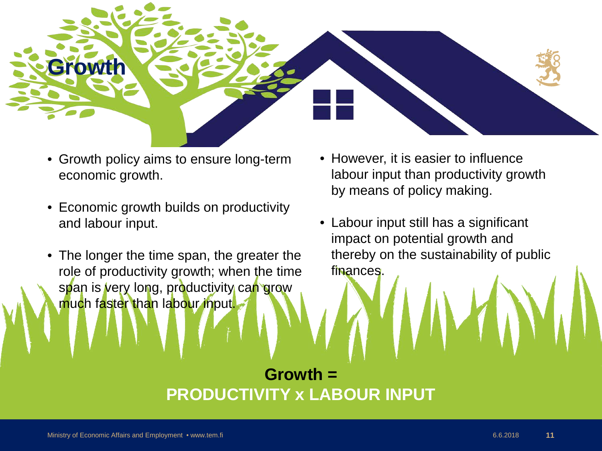<span id="page-10-0"></span>

- Growth policy aims to ensure long-term economic growth.
- Economic growth builds on productivity and labour input.
- The longer the time span, the greater the role of productivity growth; when the time span is very long, productivity can grow much faster than labour input.
- However, it is easier to influence labour input than productivity growth by means of policy making.
- Labour input still has a significant impact on potential growth and thereby on the sustainability of public finances.

#### **Growth = PRODUCTIVITY x LABOUR INPUT**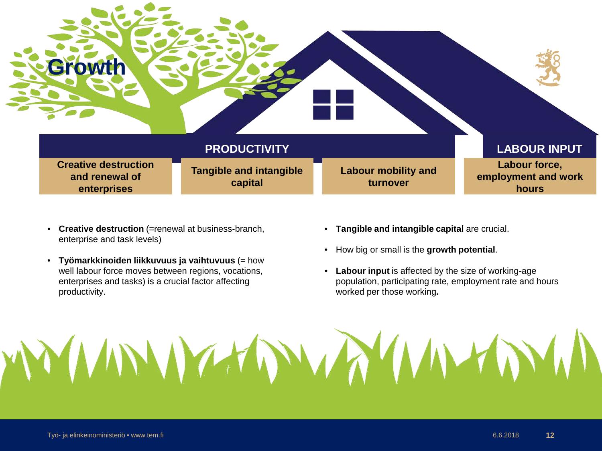

- **Creative destruction** (=renewal at business-branch, enterprise and task levels)
- **Työmarkkinoiden liikkuvuus ja vaihtuvuus** (= how well labour force moves between regions, vocations, enterprises and tasks) is a crucial factor affecting productivity.
- **Tangible and intangible capital** are crucial.
- How big or small is the **growth potential**.
- **Labour input** is affected by the size of working-age population, participating rate, employment rate and hours worked per those working**.**

#### Työ- ja elinkeinoministeriö • www.tem.fi 6.6.2018 **12**

MMMMMM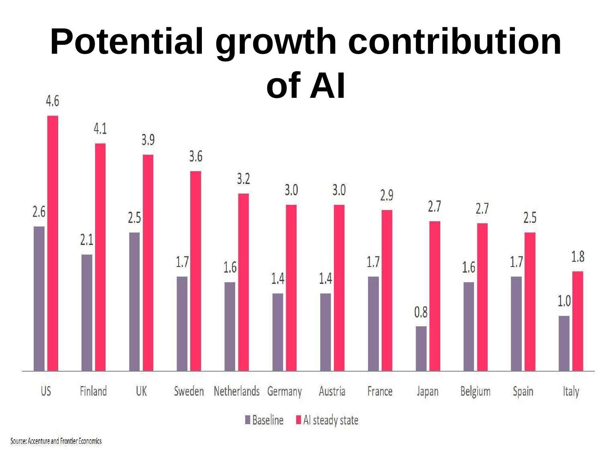## **Potential growth contribution of AI**4.6

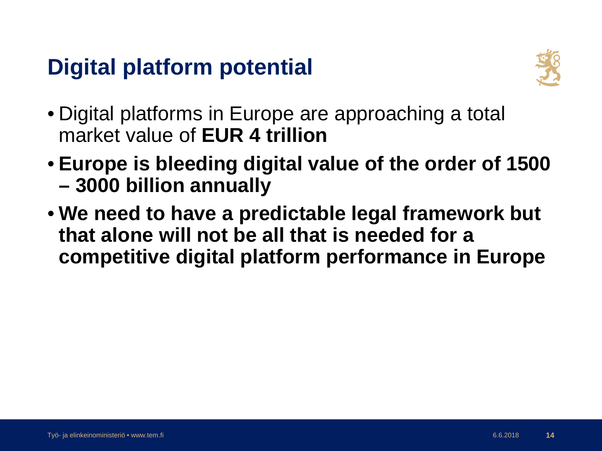## **Digital platform potential**



- Digital platforms in Europe are approaching a total market value of **EUR 4 trillion**
- **Europe is bleeding digital value of the order of 1500 – 3000 billion annually**
- **We need to have a predictable legal framework but that alone will not be all that is needed for a competitive digital platform performance in Europe**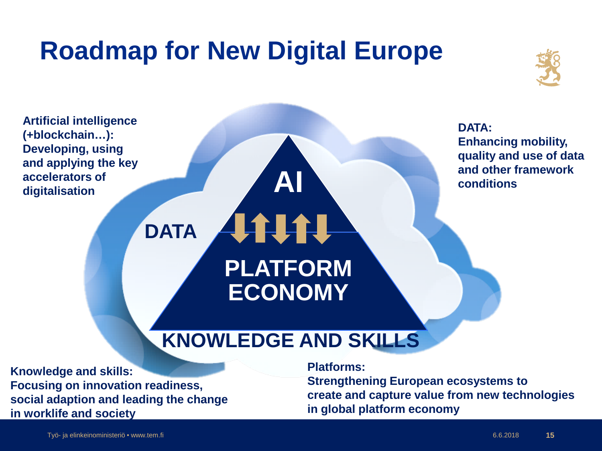# <span id="page-14-0"></span>**Roadmap for New Digital Europe**



**Artificial intelligence DATA: (+blockchain…): Enhancing mobility, Developing, using quality and use of data and applying the key and other framework AI accelerators of conditions digitalisation LITTI DATA PLATFORM ECONOMY KNOWLEDGE AND SKILLS**

**Knowledge and skills: Focusing on innovation readiness, social adaption and leading the change in worklife and society**

**Platforms:** 

**Strengthening European ecosystems to create and capture value from new technologies in global platform economy**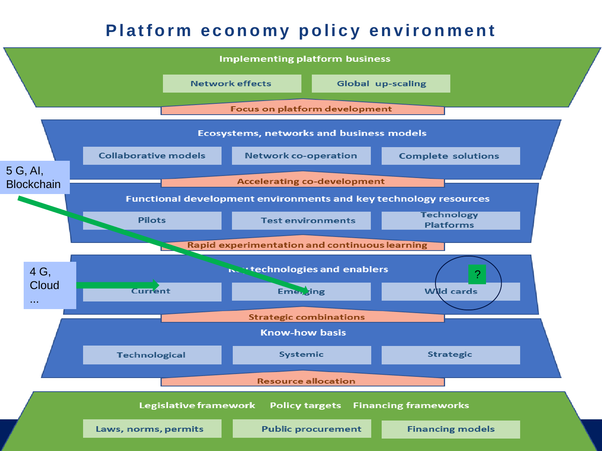#### **Platform economy policy environment**

<span id="page-15-0"></span>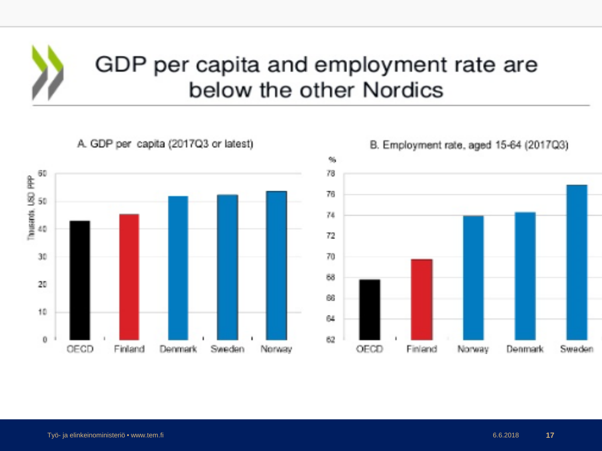<span id="page-16-0"></span>

### GDP per capita and employment rate are below the other Nordics